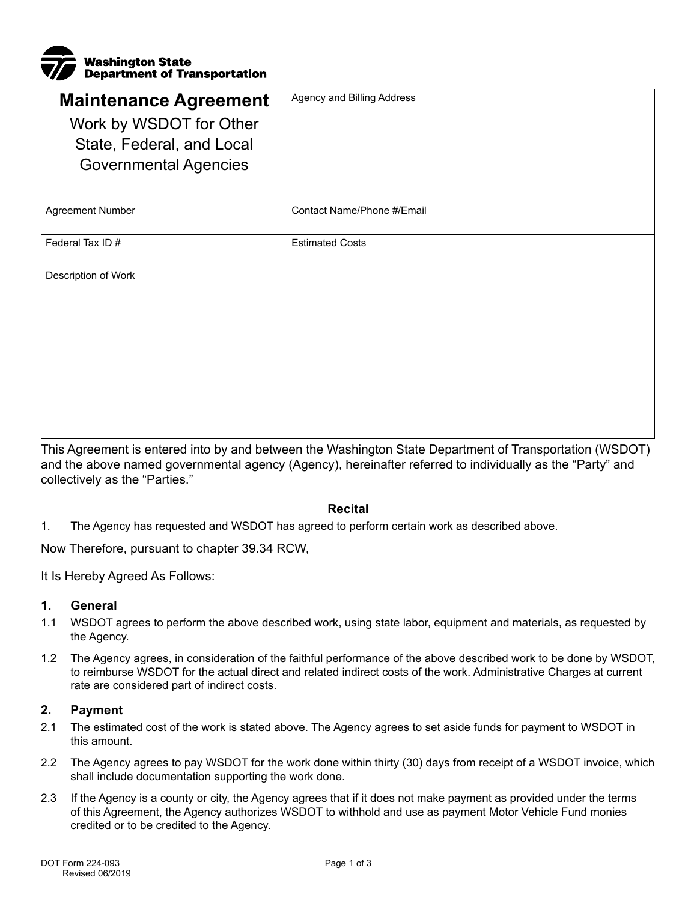

| <b>Maintenance Agreement</b> | Agency and Billing Address |
|------------------------------|----------------------------|
| Work by WSDOT for Other      |                            |
| State, Federal, and Local    |                            |
| <b>Governmental Agencies</b> |                            |
|                              |                            |
| <b>Agreement Number</b>      | Contact Name/Phone #/Email |
|                              |                            |
| Federal Tax ID#              | <b>Estimated Costs</b>     |
|                              |                            |
|                              |                            |

Description of Work

This Agreement is entered into by and between the Washington State Department of Transportation (WSDOT) and the above named governmental agency (Agency), hereinafter referred to individually as the "Party" and collectively as the "Parties."

### **Recital**

1. The Agency has requested and WSDOT has agreed to perform certain work as described above.

Now Therefore, pursuant to chapter 39.34 RCW,

It Is Hereby Agreed As Follows:

### **1. General**

- 1.1 WSDOT agrees to perform the above described work, using state labor, equipment and materials, as requested by the Agency.
- 1.2 The Agency agrees, in consideration of the faithful performance of the above described work to be done by WSDOT, to reimburse WSDOT for the actual direct and related indirect costs of the work. Administrative Charges at current rate are considered part of indirect costs.

### **2. Payment**

- 2.1 The estimated cost of the work is stated above. The Agency agrees to set aside funds for payment to WSDOT in this amount.
- 2.2 The Agency agrees to pay WSDOT for the work done within thirty (30) days from receipt of a WSDOT invoice, which shall include documentation supporting the work done.
- 2.3 If the Agency is a county or city, the Agency agrees that if it does not make payment as provided under the terms of this Agreement, the Agency authorizes WSDOT to withhold and use as payment Motor Vehicle Fund monies credited or to be credited to the Agency.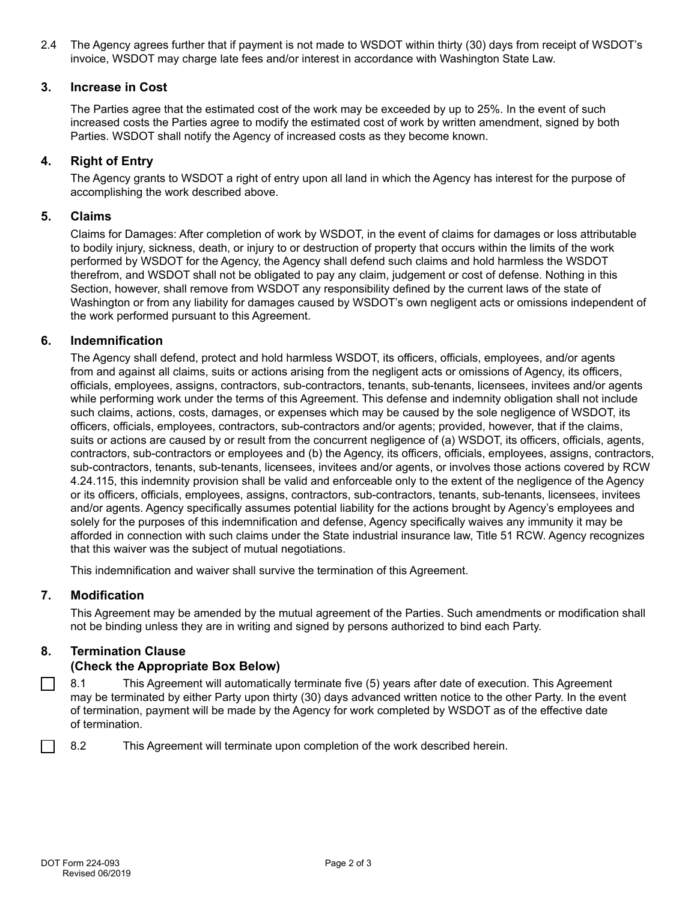2.4 The Agency agrees further that if payment is not made to WSDOT within thirty (30) days from receipt of WSDOT's invoice, WSDOT may charge late fees and/or interest in accordance with Washington State Law.

# **3. Increase in Cost**

The Parties agree that the estimated cost of the work may be exceeded by up to 25%. In the event of such increased costs the Parties agree to modify the estimated cost of work by written amendment, signed by both Parties. WSDOT shall notify the Agency of increased costs as they become known.

# **4. Right of Entry**

The Agency grants to WSDOT a right of entry upon all land in which the Agency has interest for the purpose of accomplishing the work described above.

#### **5. Claims**

Claims for Damages: After completion of work by WSDOT, in the event of claims for damages or loss attributable to bodily injury, sickness, death, or injury to or destruction of property that occurs within the limits of the work performed by WSDOT for the Agency, the Agency shall defend such claims and hold harmless the WSDOT therefrom, and WSDOT shall not be obligated to pay any claim, judgement or cost of defense. Nothing in this Section, however, shall remove from WSDOT any responsibility defined by the current laws of the state of Washington or from any liability for damages caused by WSDOT's own negligent acts or omissions independent of the work performed pursuant to this Agreement.

### **6. Indemnification**

The Agency shall defend, protect and hold harmless WSDOT, its officers, officials, employees, and/or agents from and against all claims, suits or actions arising from the negligent acts or omissions of Agency, its officers, officials, employees, assigns, contractors, sub-contractors, tenants, sub-tenants, licensees, invitees and/or agents while performing work under the terms of this Agreement. This defense and indemnity obligation shall not include such claims, actions, costs, damages, or expenses which may be caused by the sole negligence of WSDOT, its officers, officials, employees, contractors, sub-contractors and/or agents; provided, however, that if the claims, suits or actions are caused by or result from the concurrent negligence of (a) WSDOT, its officers, officials, agents, contractors, sub-contractors or employees and (b) the Agency, its officers, officials, employees, assigns, contractors, sub-contractors, tenants, sub-tenants, licensees, invitees and/or agents, or involves those actions covered by RCW 4.24.115, this indemnity provision shall be valid and enforceable only to the extent of the negligence of the Agency or its officers, officials, employees, assigns, contractors, sub-contractors, tenants, sub-tenants, licensees, invitees and/or agents. Agency specifically assumes potential liability for the actions brought by Agency's employees and solely for the purposes of this indemnification and defense, Agency specifically waives any immunity it may be afforded in connection with such claims under the State industrial insurance law, Title 51 RCW. Agency recognizes that this waiver was the subject of mutual negotiations.

This indemnification and waiver shall survive the termination of this Agreement.

#### **7. Modification**

This Agreement may be amended by the mutual agreement of the Parties. Such amendments or modification shall not be binding unless they are in writing and signed by persons authorized to bind each Party.

### **8. Termination Clause**

### **(Check the Appropriate Box Below)**

8.1 This Agreement will automatically terminate five (5) years after date of execution. This Agreement  $\sim$ may be terminated by either Party upon thirty (30) days advanced written notice to the other Party. In the event of termination, payment will be made by the Agency for work completed by WSDOT as of the effective date of termination.

8.2 This Agreement will terminate upon completion of the work described herein.